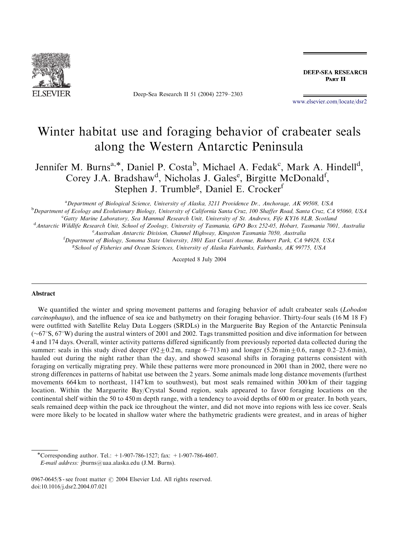

Deep-Sea Research II 51 (2004) 2279–2303

**DEEP-SEA RESEARCH** PART II

<www.elsevier.com/locate/dsr2>

# Winter habitat use and foraging behavior of crabeater seals along the Western Antarctic Peninsula

Jennifer M. Burns<sup>a,\*</sup>, Daniel P. Costa<sup>b</sup>, Michael A. Fedak<sup>c</sup>, Mark A. Hindell<sup>d</sup>, Corey J.A. Bradshaw<sup>d</sup>, Nicholas J. Gales<sup>e</sup>, Birgitte McDonald<sup>f</sup>, Stephen J. Trumble<sup>g</sup>, Daniel E. Crocker<sup>f</sup>

a Department of Biological Science, University of Alaska, 3211 Providence Dr., Anchorage, AK 99508, USA

**b** Department of Ecology and Evolutionary Biology, University of California Santa Cruz, 100 Shaffer Road, Santa Cruz, CA 95060, USA

e<br>Gatty Marine Laboratory, Sea Mammal Research Unit, University of St. Andrews, Fife KY16 8LB, Scotland

d Antarctic Wildlife Research Unit, School of Zoology, University of Tasmania, GPO Box 252-05, Hobart, Tasmania 7001, Australia e<br>Australian Antarctic Division, Channel Highway, Kingston Tasmania 7050, Australia

<sup>f</sup> Department of Biology, Sonoma State University, 1801 East Cotati Avenue, Rohnert Park, CA 94928, USA

<sup>g</sup>School of Fisheries and Ocean Sciences, University of Alaska Fairbanks, Fairbanks, AK 99775, USA

Accepted 8 July 2004

#### Abstract

We quantified the winter and spring movement patterns and foraging behavior of adult crabeater seals (Lobodon carcinophagus), and the influence of sea ice and bathymetry on their foraging behavior. Thirty-four seals (16 M 18 F) were outfitted with Satellite Relay Data Loggers (SRDLs) in the Marguerite Bay Region of the Antarctic Peninsula  $(\sim 67^\circ S, 67^\circ W)$  during the austral winters of 2001 and 2002. Tags transmitted position and dive information for between 4 and 174 days. Overall, winter activity patterns differed significantly from previously reported data collected during the summer: seals in this study dived deeper  $(92+0.2 \text{ m}$ , range  $6-713 \text{ m}$ ) and longer  $(5.26 \text{ min}+0.6, \text{ range } 0.2-23.6 \text{ min})$ , hauled out during the night rather than the day, and showed seasonal shifts in foraging patterns consistent with foraging on vertically migrating prey. While these patterns were more pronounced in 2001 than in 2002, there were no strong differences in patterns of habitat use between the 2 years. Some animals made long distance movements (furthest movements 664 km to northeast, 1147 km to southwest), but most seals remained within 300 km of their tagging location. Within the Marguerite Bay/Crystal Sound region, seals appeared to favor foraging locations on the continental shelf within the 50 to 450 m depth range, with a tendency to avoid depths of 600 m or greater. In both years, seals remained deep within the pack ice throughout the winter, and did not move into regions with less ice cover. Seals were more likely to be located in shallow water where the bathymetric gradients were greatest, and in areas of higher

\*Corresponding author. Tel.:  $+1-907-786-1527$ ; fax:  $+1-907-786-4607$ . E-mail address: jburns@uaa.alaska.edu (J.M. Burns).

0967-0645/\$ - see front matter  $\odot$  2004 Elsevier Ltd. All rights reserved. doi:10.1016/j.dsr2.2004.07.021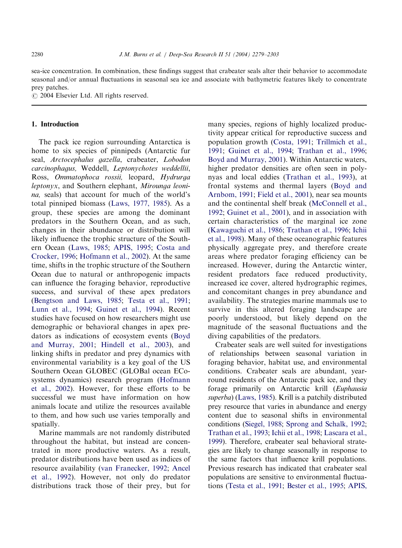sea-ice concentration. In combination, these findings suggest that crabeater seals alter their behavior to accommodate seasonal and/or annual fluctuations in seasonal sea ice and associate with bathymetric features likely to concentrate prey patches.

 $\odot$  2004 Elsevier Ltd. All rights reserved.

#### 1. Introduction

The pack ice region surrounding Antarctica is home to six species of pinnipeds (Antarctic fur seal, Arctocephalus gazella, crabeater, Lobodon carcinophagus, Weddell, Leptonychotes weddellii, Ross, Ommatophoca rossii, leopard, Hydrurga leptonyx, and Southern elephant, Mirounga leonina, seals) that account for much of the world's total pinniped biomass [\(Laws, 1977, 1985\)](#page-23-0). As a group, these species are among the dominant predators in the Southern Ocean, and as such, changes in their abundance or distribution will likely influence the trophic structure of the Southern Ocean [\(Laws, 1985](#page-23-0); [APIS, 1995](#page-21-0); [Costa and](#page-22-0) [Crocker, 1996;](#page-22-0) [Hofmann et al., 2002\)](#page-22-0). At the same time, shifts in the trophic structure of the Southern Ocean due to natural or anthropogenic impacts can influence the foraging behavior, reproductive success, and survival of these apex predators ([Bengtson and Laws, 1985;](#page-21-0) [Testa et al., 1991](#page-23-0); [Lunn et al., 1994](#page-23-0); [Guinet et al., 1994\)](#page-22-0). Recent studies have focused on how researchers might use demographic or behavioral changes in apex predators as indications of ecosystem events [\(Boyd](#page-21-0) [and Murray, 2001](#page-21-0); [Hindell et al., 2003](#page-22-0)), and linking shifts in predator and prey dynamics with environmental variability is a key goal of the US Southern Ocean GLOBEC (GLOBal ocean ECosystems dynamics) research program [\(Hofmann](#page-22-0) [et al., 2002](#page-22-0)). However, for these efforts to be successful we must have information on how animals locate and utilize the resources available to them, and how such use varies temporally and spatially.

Marine mammals are not randomly distributed throughout the habitat, but instead are concentrated in more productive waters. As a result, predator distributions have been used as indices of resource availability ([van Franecker, 1992](#page-23-0); [Ancel](#page-21-0) [et al., 1992](#page-21-0)). However, not only do predator distributions track those of their prey, but for many species, regions of highly localized productivity appear critical for reproductive success and population growth [\(Costa, 1991;](#page-22-0) [Trillmich et al.,](#page-23-0) [1991;](#page-23-0) [Guinet et al., 1994](#page-22-0); [Trathan et al., 1996](#page-23-0); [Boyd and Murray, 2001](#page-21-0)). Within Antarctic waters, higher predator densities are often seen in polynyas and local eddies ([Trathan et al., 1993](#page-23-0)), at frontal systems and thermal layers ([Boyd and](#page-21-0) [Arnbom, 1991](#page-21-0); [Field et al., 2001](#page-22-0)), near sea mounts and the continental shelf break ([McConnell et al.,](#page-23-0) [1992;](#page-23-0) [Guinet et al., 2001\)](#page-22-0), and in association with certain characteristics of the marginal ice zone ([Kawaguchi et al., 1986;](#page-22-0) [Trathan et al., 1996](#page-23-0); [Ichii](#page-22-0) [et al., 1998](#page-22-0)). Many of these oceanographic features physically aggregate prey, and therefore create areas where predator foraging efficiency can be increased. However, during the Antarctic winter, resident predators face reduced productivity, increased ice cover, altered hydrographic regimes, and concomitant changes in prey abundance and availability. The strategies marine mammals use to survive in this altered foraging landscape are poorly understood, but likely depend on the magnitude of the seasonal fluctuations and the diving capabilities of the predators.

Crabeater seals are well suited for investigations of relationships between seasonal variation in foraging behavior, habitat use, and environmental conditions. Crabeater seals are abundant, yearround residents of the Antarctic pack ice, and they forage primarily on Antarctic krill (Euphausia superba) [\(Laws, 1985\)](#page-23-0). Krill is a patchily distributed prey resource that varies in abundance and energy content due to seasonal shifts in environmental conditions ([Siegel, 1988](#page-23-0); [Sprong and Schalk, 1992](#page-23-0); [Trathan et al., 1993;](#page-23-0) [Ichii et al., 1998;](#page-22-0) [Lascara et al.,](#page-23-0) [1999](#page-23-0)). Therefore, crabeater seal behavioral strategies are likely to change seasonally in response to the same factors that influence krill populations. Previous research has indicated that crabeater seal populations are sensitive to environmental fluctuations [\(Testa et al., 1991](#page-23-0); [Bester et al., 1995](#page-21-0); [APIS,](#page-21-0)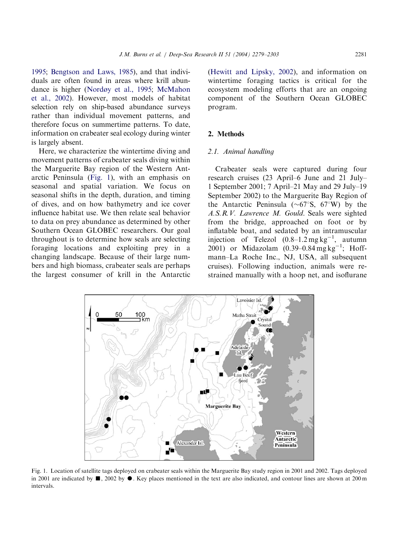<span id="page-2-0"></span>[1995](#page-21-0); [Bengtson and Laws, 1985](#page-21-0)), and that individuals are often found in areas where krill abundance is higher ([Nordøy et al., 1995](#page-23-0); [McMahon](#page-23-0) [et al., 2002\)](#page-23-0). However, most models of habitat selection rely on ship-based abundance surveys rather than individual movement patterns, and therefore focus on summertime patterns. To date, information on crabeater seal ecology during winter is largely absent.

Here, we characterize the wintertime diving and movement patterns of crabeater seals diving within the Marguerite Bay region of the Western Antarctic Peninsula (Fig. 1), with an emphasis on seasonal and spatial variation. We focus on seasonal shifts in the depth, duration, and timing of dives, and on how bathymetry and ice cover influence habitat use. We then relate seal behavior to data on prey abundance as determined by other Southern Ocean GLOBEC researchers. Our goal throughout is to determine how seals are selecting foraging locations and exploiting prey in a changing landscape. Because of their large numbers and high biomass, crabeater seals are perhaps the largest consumer of krill in the Antarctic ([Hewitt and Lipsky, 2002](#page-22-0)), and information on wintertime foraging tactics is critical for the ecosystem modeling efforts that are an ongoing component of the Southern Ocean GLOBEC program.

### 2. Methods

## 2.1. Animal handling

Crabeater seals were captured during four research cruises (23 April–6 June and 21 July– 1 September 2001; 7 April–21 May and 29 July–19 September 2002) to the Marguerite Bay Region of the Antarctic Peninsula ( $\sim 67^\circ$ S, 67°W) by the A.S.R.V. Lawrence M. Gould. Seals were sighted from the bridge, approached on foot or by inflatable boat, and sedated by an intramuscular injection of Telezol  $(0.8-1.2 \,\text{mg}\,\text{kg}^{-1})$ , autumn 2001) or Midazolam  $(0.39 - 0.84 \,\text{mg}\,\text{kg}^{-1})$ ; Hoffmann–La Roche Inc., NJ, USA, all subsequent cruises). Following induction, animals were restrained manually with a hoop net, and isoflurane



Fig. 1. Location of satellite tags deployed on crabeater seals within the Marguerite Bay study region in 2001 and 2002. Tags deployed in 2001 are indicated by  $\blacksquare$ , 2002 by  $\blacklozenge$ . Key places mentioned in the text are also indicated, and contour lines are shown at 200 m intervals.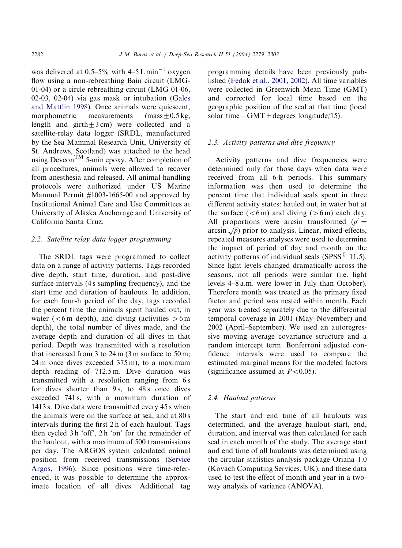was delivered at  $0.5-5\%$  with  $4-5$  L min<sup>-1</sup> oxygen flow using a non-rebreathing Bain circuit (LMG-01-04) or a circle rebreathing circuit (LMG 01-06, 02-03, 02-04) via gas mask or intubation ([Gales](#page-22-0) [and Mattlin 1998\)](#page-22-0). Once animals were quiescent, morphometric measurements (mass+ $0.5 \text{ kg}$ , length and girth $+3$  cm) were collected and a satellite-relay data logger (SRDL, manufactured by the Sea Mammal Research Unit, University of St. Andrews, Scotland) was attached to the head using Devcon<sup>TM</sup> 5-min epoxy. After completion of all procedures, animals were allowed to recover from anesthesia and released. All animal handling protocols were authorized under US Marine Mammal Permit #1003-1665-00 and approved by Institutional Animal Care and Use Committees at University of Alaska Anchorage and University of California Santa Cruz.

## 2.2. Satellite relay data logger programming

The SRDL tags were programmed to collect data on a range of activity patterns. Tags recorded dive depth, start time, duration, and post-dive surface intervals (4 s sampling frequency), and the start time and duration of haulouts. In addition, for each four-h period of the day, tags recorded the percent time the animals spent hauled out, in water ( $\lt 6$  m depth), and diving (activities  $> 6$  m depth), the total number of dives made, and the average depth and duration of all dives in that period. Depth was transmitted with a resolution that increased from 3 to  $24 \text{ m}$  (3 m surface to 50 m; 24 m once dives exceeded 375 m), to a maximum depth reading of 712.5 m. Dive duration was transmitted with a resolution ranging from 6 s for dives shorter than 9 s, to 48 s once dives exceeded 741 s, with a maximum duration of 1413 s. Dive data were transmitted every 45 s when the animals were on the surface at sea, and at 80 s intervals during the first 2 h of each haulout. Tags then cycled 3 h 'off', 2 h 'on' for the remainder of the haulout, with a maximum of 500 transmissions per day. The ARGOS system calculated animal position from received transmissions ([Service](#page-23-0) [Argos, 1996](#page-23-0)). Since positions were time-referenced, it was possible to determine the approximate location of all dives. Additional tag programming details have been previously published [\(Fedak et al., 2001, 2002](#page-22-0)). All time variables were collected in Greenwich Mean Time (GMT) and corrected for local time based on the geographic position of the seal at that time (local solar time=GMT + degrees longitude/15).

# 2.3. Activity patterns and dive frequency

Activity patterns and dive frequencies were determined only for those days when data were received from all 6-h periods. This summary information was then used to determine the percent time that individual seals spent in three different activity states: hauled out, in water but at the surface  $( $6 \text{ m}$ )$  and diving  $(>6 \text{ m})$  each day. All proportions were arcsin transformed  $(p' =$ arcsin  $\sqrt{p}$ ) prior to analysis. Linear, mixed-effects, repeated measures analyses were used to determine the impact of period of day and month on the activity patterns of individual seals ( $SPSS^{\odot}$  11.5). Since light levels changed dramatically across the seasons, not all periods were similar (i.e. light levels 4–8 a.m. were lower in July than October). Therefore month was treated as the primary fixed factor and period was nested within month. Each year was treated separately due to the differential temporal coverage in 2001 (May–November) and 2002 (April–September). We used an autoregressive moving average covariance structure and a random intercept term. Bonferroni adjusted confidence intervals were used to compare the estimated marginal means for the modeled factors (significance assumed at  $P < 0.05$ ).

# 2.4. Haulout patterns

The start and end time of all haulouts was determined, and the average haulout start, end, duration, and interval was then calculated for each seal in each month of the study. The average start and end time of all haulouts was determined using the circular statistics analysis package Oriana 1.0 (Kovach Computing Services, UK), and these data used to test the effect of month and year in a twoway analysis of variance (ANOVA).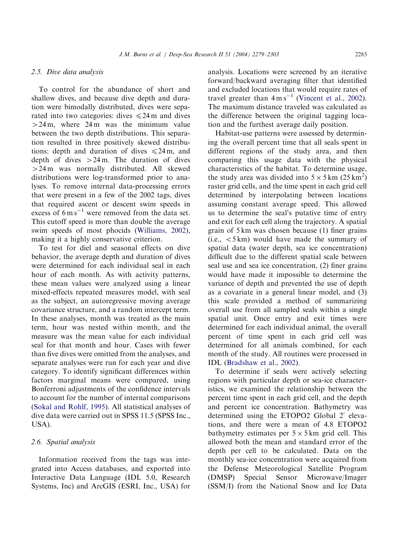## 2.5. Dive data analysis

To control for the abundance of short and shallow dives, and because dive depth and duration were bimodally distributed, dives were separated into two categories: dives  $\leq 24$  m and dives  $>$  24 m, where 24 m was the minimum value between the two depth distributions. This separation resulted in three positively skewed distributions: depth and duration of dives  $\leq 24$  m, and depth of dives  $>24 \,\text{m}$ . The duration of dives  $>$  24 m was normally distributed. All skewed distributions were log-transformed prior to analyses. To remove internal data-processing errors that were present in a few of the 2002 tags, dives that required ascent or descent swim speeds in excess of  $6 \text{ m s}^{-1}$  were removed from the data set. This cutoff speed is more than double the average swim speeds of most phocids ([Williams, 2002\)](#page-24-0), making it a highly conservative criterion.

To test for diel and seasonal effects on dive behavior, the average depth and duration of dives were determined for each individual seal in each hour of each month. As with activity patterns, these mean values were analyzed using a linear mixed-effects repeated measures model, with seal as the subject, an autoregressive moving average covariance structure, and a random intercept term. In these analyses, month was treated as the main term, hour was nested within month, and the measure was the mean value for each individual seal for that month and hour. Cases with fewer than five dives were omitted from the analyses, and separate analyses were run for each year and dive category. To identify significant differences within factors marginal means were compared, using Bonferroni adjustments of the confidence intervals to account for the number of internal comparisons ([Sokal and Rohlf, 1995](#page-23-0)). All statistical analyses of dive data were carried out in SPSS 11.5 (SPSS Inc., USA).

## 2.6. Spatial analysis

Information received from the tags was integrated into Access databases, and exported into Interactive Data Language (IDL 5.0, Research Systems, Inc) and ArcGIS (ESRI, Inc., USA) for analysis. Locations were screened by an iterative forward/backward averaging filter that identified and excluded locations that would require rates of travel greater than  $4 \text{ m s}^{-1}$  ([Vincent et al., 2002\)](#page-24-0). The maximum distance traveled was calculated as the difference between the original tagging location and the furthest average daily position.

Habitat-use patterns were assessed by determining the overall percent time that all seals spent in different regions of the study area, and then comparing this usage data with the physical characteristics of the habitat. To determine usage, the study area was divided into  $5 \times 5 \text{ km} (25 \text{ km}^2)$ raster grid cells, and the time spent in each grid cell determined by interpolating between locations assuming constant average speed. This allowed us to determine the seal's putative time of entry and exit for each cell along the trajectory. A spatial grain of 5 km was chosen because (1) finer grains  $(i.e., < 5 km)$  would have made the summary of spatial data (water depth, sea ice concentration) difficult due to the different spatial scale between seal use and sea ice concentration, (2) finer grains would have made it impossible to determine the variance of depth and prevented the use of depth as a covariate in a general linear model, and (3) this scale provided a method of summarizing overall use from all sampled seals within a single spatial unit. Once entry and exit times were determined for each individual animal, the overall percent of time spent in each grid cell was determined for all animals combined, for each month of the study. All routines were processed in IDL ([Bradshaw et al., 2002](#page-21-0)).

To determine if seals were actively selecting regions with particular depth or sea-ice characteristics, we examined the relationship between the percent time spent in each grid cell, and the depth and percent ice concentration. Bathymetry was determined using the ETOPO2 Global  $2'$  elevations, and there were a mean of 4.8 ETOPO2 bathymetry estimates per  $5 \times 5$  km grid cell. This allowed both the mean and standard error of the depth per cell tobe calculated. Data on the monthly sea-ice concentration were acquired from the Defense Meteorological Satellite Program (DMSP) Special Sensor Microwave/Imager (SSM/I) from the National Snow and Ice Data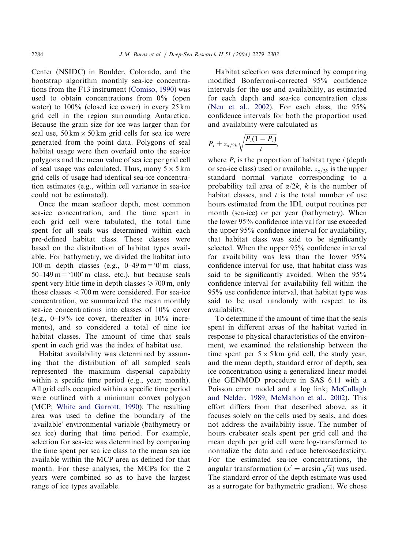Center (NSIDC) in Boulder, Colorado, and the bootstrap algorithm monthly sea-ice concentrations from the F13 instrument [\(Comiso, 1990\)](#page-22-0) was used to obtain concentrations from 0% (open water) to 100% (closed ice cover) in every 25 km grid cell in the region surrounding Antarctica. Because the grain size for ice was larger than for seal use,  $50 \text{ km} \times 50 \text{ km}$  grid cells for sea ice were generated from the point data. Polygons of seal habitat usage were then overlaid onto the sea-ice polygons and the mean value of sea ice per grid cell of seal usage was calculated. Thus, many  $5 \times 5$  km grid cells of usage had identical sea-ice concentration estimates (e.g., within cell variance in sea-ice could not be estimated).

Once the mean seafloor depth, most common sea-ice concentration, and the time spent in each grid cell were tabulated, the total time spent for all seals was determined within each pre-defined habitat class. These classes were based on the distribution of habitat types available. For bathymetry, we divided the habitat into 100-m depth classes (e.g.,  $0-49$  m = 0' m class,  $50-149$  m = '100' m class, etc.), but because seals spent very little time in depth classes  $\geq 700$  m, only those classes  $\langle 700 \text{ m}$  were considered. For sea-ice concentration, we summarized the mean monthly sea-ice concentrations into classes of 10% cover (e.g.,  $0-19\%$  ice cover, thereafter in  $10\%$  increments), and so considered a total of nine ice habitat classes. The amount of time that seals spent in each grid was the index of habitat use.

Habitat availability was determined by assuming that the distribution of all sampled seals represented the maximum dispersal capability within a specific time period (e.g., year; month). All grid cells occupied within a specific time period were outlined with a minimum convex polygon (MCP; [White and Garrott, 1990\)](#page-24-0). The resulting area was used to define the boundary of the 'available' environmental variable (bathymetry or sea ice) during that time period. For example, selection for sea-ice was determined by comparing the time spent per sea ice class to the mean sea ice available within the MCP area as defined for that month. For these analyses, the MCPs for the 2 years were combined so as to have the largest range of ice types available.

Habitat selection was determined by comparing modified Bonferroni-corrected 95% confidence intervals for the use and availability, as estimated for each depth and sea-ice concentration class ([Neu et al., 2002\)](#page-23-0). For each class, the 95% confidence intervals for both the proportion used and availability were calculated as

$$
P_i \pm z_{\alpha/2k} \sqrt{\frac{P_i(1-P_i)}{t}},
$$

where  $P_i$  is the proportion of habitat type i (depth or sea-ice class) used or available,  $z_{\alpha/2k}$  is the upper standard normal variate corresponding to a probability tail area of  $\alpha/2k$ , k is the number of habitat classes, and  $t$  is the total number of use hours estimated from the IDL output routines per month (sea-ice) or per year (bathymetry). When the lower 95% confidence interval for use exceeded the upper 95% confidence interval for availability, that habitat class was said to be significantly selected. When the upper 95% confidence interval for availability was less than the lower 95% confidence interval for use, that habitat class was said to be significantly avoided. When the 95% confidence interval for availability fell within the 95% use confidence interval, that habitat type was said to be used randomly with respect to its availability.

To determine if the amount of time that the seals spent in different areas of the habitat varied in response to physical characteristics of the environment, we examined the relationship between the time spent per  $5 \times 5$  km grid cell, the study year, and the mean depth, standard error of depth, sea ice concentration using a generalized linear model (the GENMOD procedure in SAS 6.11 with a Poisson error model and a log link; [McCullagh](#page-23-0) [and Nelder, 1989;](#page-23-0) [McMahon et al., 2002](#page-23-0)). This effort differs from that described above, as it focuses solely on the cells used by seals, and does not address the availability issue. The number of hours crabeater seals spent per grid cell and the mean depth per grid cell were log-transformed to normalize the data and reduce heteroscedasticity. For the estimated sea-ice concentrations, the For the estimated sea-to concentrations, the angular transformation  $(x' = \arcsin \sqrt{x})$  was used. The standard error of the depth estimate was used as a surrogate for bathymetric gradient. We chose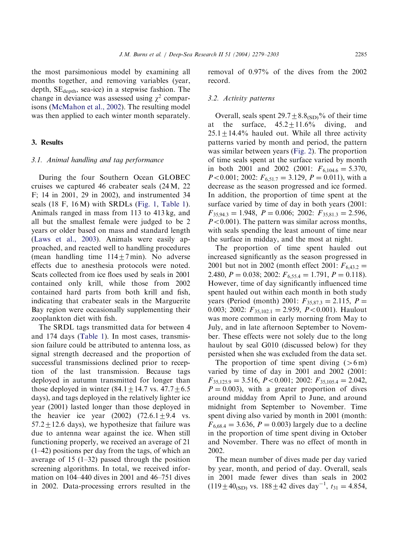the most parsimonious model by examining all months together, and removing variables (year, depth,  $SE_{depth}$ , sea-ice) in a stepwise fashion. The change in deviance was assessed using  $\chi^2$  comparisons ([McMahon et al., 2002](#page-23-0)). The resulting model was then applied to each winter month separately.

## 3. Results

## 3.1. Animal handling and tag performance

During the four Southern Ocean GLOBEC cruises we captured 46 crabeater seals (24 M, 22 F; 14 in 2001, 29 in 2002), and instrumented 34 seals  $(18 \text{ F}, 16 \text{ M})$  with SRDLs [\(Fig. 1](#page-2-0), [Table 1\)](#page-7-0). Animals ranged in mass from 113 to 413 kg, and all but the smallest female were judged tobe 2 years or older based on mass and standard length ([Laws et al., 2003\)](#page-23-0). Animals were easily approached, and reacted well to handling procedures (mean handling time  $114 \pm 7$  min). No adverse effects due to anesthesia protocols were noted. Scats collected from ice floes used by seals in 2001 contained only krill, while those from 2002 contained hard parts from both krill and fish, indicating that crabeater seals in the Marguerite Bay region were occasionally supplementing their zooplankton diet with fish.

The SRDL tags transmitted data for between 4 and 174 days [\(Table 1\)](#page-7-0). In most cases, transmission failure could be attributed to antenna loss, as signal strength decreased and the proportion of successful transmissions declined prior to reception of the last transmission. Because tags deployed in autumn transmitted for longer than those deployed in winter (84.1  $\pm$  14.7 vs. 47.7  $\pm$  6.5 days), and tags deployed in the relatively lighter ice year (2001) lasted longer than those deployed in the heavier ice year (2002) (72.6.1 $\pm$ 9.4 vs.  $57.2 \pm 12.6$  days), we hypothesize that failure was due to antenna wear against the ice. When still functioning properly, we received an average of 21 (1–42) positions per day from the tags, of which an average of 15 (1–32) passed through the position screening algorithms. In total, we received information on 104–440 dives in 2001 and 46–751 dives in 2002. Data-processing errors resulted in the

removal of 0.97% of the dives from the 2002 record.

#### 3.2. Activity patterns

Overall, seals spent  $29.7 \pm 8.8$ <sub>(SD)</sub>% of their time at the surface,  $45.2 \pm 11.6\%$  diving, and  $25.1+14.4\%$  hauled out. While all three activity patterns varied by month and period, the pattern was similar between years [\(Fig. 2](#page-8-0)). The proportion of time seals spent at the surface varied by month in both 2001 and 2002 (2001:  $F_{6,104.6} = 5.370$ ,  $P<0.001$ ; 2002:  $F_{6,51.7} = 3.129$ ,  $P = 0.011$ ), with a decrease as the season progressed and ice formed. In addition, the proportion of time spent at the surface varied by time of day in both years (2001:  $F_{35,94,3} = 1.948, P = 0.006; 2002: F_{35,81,3} = 2.596,$  $P<0.001$ ). The pattern was similar across months, with seals spending the least amount of time near the surface in midday, and the most at night.

The proportion of time spent hauled out increased significantly as the season progressed in 2001 but not in 2002 (month effect 2001:  $F_{6,43,2} =$ 2.480,  $P = 0.038$ ; 2002:  $F_{6,55,4} = 1.791$ ,  $P = 0.118$ ). However, time of day significantly influenced time spent hauled out within each month in both study years (Period (month) 2001:  $F_{35,87,3} = 2.115$ ,  $P =$ 0.003; 2002:  $F_{35,102,1} = 2.959$ ,  $P < 0.001$ ). Haulout was more common in early morning from May to July, and in late afternoon September to November. These effects were not solely due to the long haulout by seal G010 (discussed below) for they persisted when she was excluded from the data set.

The proportion of time spent diving  $(56 \text{ m})$ varied by time of day in 2001 and 2002 (2001:  $F_{35,125.9} = 3.516, P < 0.001; 2002: F_{35,105.4} = 2.042,$  $P = 0.003$ , with a greater proportion of dives around midday from April to June, and around midnight from September to November. Time spent diving also varied by month in 2001 (month:  $F_{6,68,4} = 3.636, P = 0.003$  largely due to a decline in the proportion of time spent diving in October and November. There was no effect of month in 2002.

The mean number of dives made per day varied by year, month, and period of day. Overall, seals in 2001 made fewer dives than seals in 2002  $(119 \pm 40_{\rm (SD)} \text{ vs. } 188 \pm 42 \text{ dives day}^{-1}, t_{31} = 4.854,$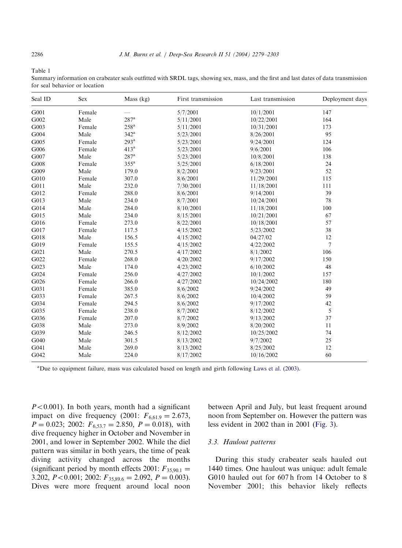<span id="page-7-0"></span>Table 1

| Seal ID | Sex    | Mass (kg)        | First transmission | Last transmission | Deployment days |
|---------|--------|------------------|--------------------|-------------------|-----------------|
| G001    | Female |                  | 5/7/2001           | 10/1/2001         | 147             |
| G002    | Male   | $287^{\rm a}$    | 5/11/2001          | 10/22/2001        | 164             |
| G003    | Female | 258 <sup>a</sup> | 5/11/2001          | 10/31/2001        | 173             |
| G004    | Male   | 342 <sup>a</sup> | 5/23/2001          | 8/26/2001         | 95              |
| G005    | Female | 293 <sup>a</sup> | 5/23/2001          | 9/24/2001         | 124             |
| G006    | Female | $413^a$          | 5/23/2001          | 9/6/2001          | 106             |
| G007    | Male   | 287 <sup>a</sup> | 5/23/2001          | 10/8/2001         | 138             |
| G008    | Female | $355^{\rm a}$    | 5/25/2001          | 6/18/2001         | 24              |
| G009    | Male   | 179.0            | 8/2/2001           | 9/23/2001         | 52              |
| G010    | Female | 307.0            | 8/6/2001           | 11/29/2001        | 115             |
| G011    | Male   | 232.0            | 7/30/2001          | 11/18/2001        | 111             |
| G012    | Female | 288.0            | 8/6/2001           | 9/14/2001         | 39              |
| G013    | Male   | 234.0            | 8/7/2001           | 10/24/2001        | 78              |
| G014    | Male   | 284.0            | 8/10/2001          | 11/18/2001        | 100             |
| G015    | Male   | 234.0            | 8/15/2001          | 10/21/2001        | 67              |
| G016    | Female | 273.0            | 8/22/2001          | 10/18/2001        | 57              |
| G017    | Female | 117.5            | 4/15/2002          | 5/23/2002         | 38              |
| G018    | Male   | 156.5            | 4/15/2002          | 04/27/02          | 12              |
| G019    | Female | 155.5            | 4/15/2002          | 4/22/2002         | 7               |
| G021    | Male   | 270.5            | 4/17/2002          | 8/1/2002          | 106             |
| G022    | Female | 268.0            | 4/20/2002          | 9/17/2002         | 150             |
| G023    | Male   | 174.0            | 4/23/2002          | 6/10/2002         | 48              |
| G024    | Female | 256.0            | 4/27/2002          | 10/1/2002         | 157             |
| G026    | Female | 266.0            | 4/27/2002          | 10/24/2002        | 180             |
| G031    | Female | 385.0            | 8/6/2002           | 9/24/2002         | 49              |
| G033    | Female | 267.5            | 8/6/2002           | 10/4/2002         | 59              |
| G034    | Female | 294.5            | 8/6/2002           | 9/17/2002         | 42              |
| G035    | Female | 238.0            | 8/7/2002           | 8/12/2002         | 5               |
| G036    | Female | 207.0            | 8/7/2002           | 9/13/2002         | 37              |
| G038    | Male   | 273.0            | 8/9/2002           | 8/20/2002         | 11              |
| G039    | Male   | 246.5            | 8/12/2002          | 10/25/2002        | 74              |
| G040    | Male   | 301.5            | 8/13/2002          | 9/7/2002          | 25              |
| G041    | Male   | 269.0            | 8/13/2002          | 8/25/2002         | 12              |
| G042    | Male   | 224.0            | 8/17/2002          | 10/16/2002        | 60              |

Summary information on crabeater seals outfitted with SRDL tags, showing sex, mass, and the first and last dates of data transmission for seal behavior or location

<sup>a</sup>Due to equipment failure, mass was calculated based on length and girth following [Laws et al. \(2003\).](#page-23-0)

 $P<0.001$ ). In both years, month had a significant impact on dive frequency (2001:  $F_{6,61.9} = 2.673$ ,  $P = 0.023$ ; 2002:  $F_{6,53,7} = 2.850$ ,  $P = 0.018$ ), with dive frequency higher in October and November in 2001, and lower in September 2002. While the diel pattern was similar in both years, the time of peak diving activity changed across the months (significant period by month effects 2001:  $F_{35,90.1}$  = 3.202,  $P < 0.001$ ; 2002:  $F_{35,89.6} = 2.092$ ,  $P = 0.003$ ). Dives were more frequent around local noon

between April and July, but least frequent around noon from September on. However the pattern was less evident in 2002 than in 2001 ([Fig. 3\)](#page-9-0).

# 3.3. Haulout patterns

During this study crabeater seals hauled out 1440 times. One haulout was unique: adult female G010 hauled out for 607 h from 14 October to 8 November 2001; this behavior likely reflects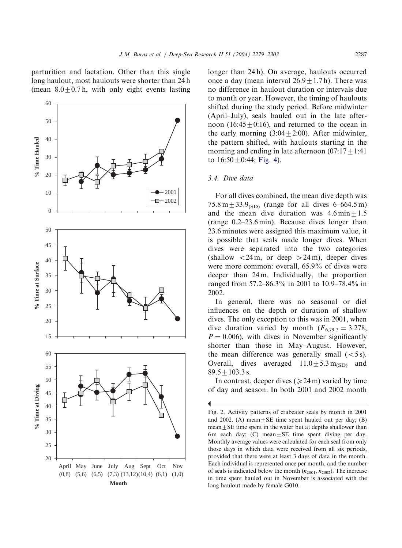<span id="page-8-0"></span>parturition and lactation. Other than this single long haulout, most haulouts were shorter than 24 h (mean  $8.0+0.7$  h, with only eight events lasting



longer than 24 h). On average, haulouts occurred once a day (mean interval  $26.9+1.7$  h). There was no difference in haulout duration or intervals due to month or year. However, the timing of haulouts shifted during the study period. Before midwinter (April–July), seals hauled out in the late afternoon  $(16:45+0:16)$ , and returned to the ocean in the early morning  $(3:04+2:00)$ . After midwinter, the pattern shifted, with haulouts starting in the morning and ending in late afternoon  $(07:17+1:41)$ to  $16:50+0:44$ ; [Fig. 4](#page-10-0)).

### 3.4. Dive data

For all dives combined, the mean dive depth was 75.8 m $\pm$ 33.9<sub>(SD)</sub> (range for all dives 6–664.5 m) and the mean dive duration was  $4.6 \text{ min} \pm 1.5$ (range 0.2–23.6 min). Because dives longer than 23.6 minutes were assigned this maximum value, it is possible that seals made longer dives. When dives were separated into the two categories (shallow  $\langle 24 \text{ m}$ , or deep  $> 24 \text{ m}$ ), deeper dives were more common: overall, 65.9% of dives were deeper than 24 m. Individually, the proportion ranged from 57.2–86.3% in 2001 to 10.9–78.4% in 2002.

In general, there was no seasonal or diel influences on the depth or duration of shallow dives. The only exception to this was in 2001, when dive duration varied by month  $(F_{6,79,7} = 3.278)$ ,  $P = 0.006$ , with dives in November significantly shorter than those in May–August. However, the mean difference was generally small  $(< 5 s)$ . Overall, dives averaged  $11.0 \pm 5.3$  m<sub>(SD)</sub> and  $89.5 + 103.3$  s.

In contrast, deeper dives  $(\geq 24 \,\mathrm{m})$  varied by time of day and season. In both 2001 and 2002 month

Fig. 2. Activity patterns of crabeater seals by month in 2001 and 2002. (A) mean $\pm$ SE time spent hauled out per day; (B)  $mean \pm SE$  time spent in the water but at depths shallower than 6m each day; (C) mean $\pm$ SE time spent diving per day. Monthly average values were calculated for each seal from only those days in which data were received from all six periods, provided that there were at least 3 days of data in the month. Each individual is represented once per month, and the number of seals is indicated below the month  $(n_{2001}, n_{2002})$ . The increase in time spent hauled out in November is associated with the long haulout made by female G010.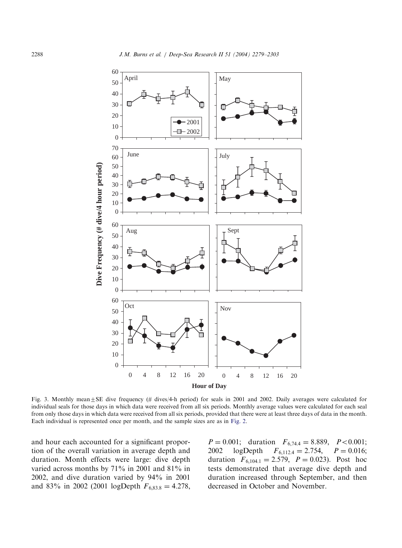<span id="page-9-0"></span>

Fig. 3. Monthly mean $\pm$ SE dive frequency (# dives/4-h period) for seals in 2001 and 2002. Daily averages were calculated for individual seals for those days in which data were received from all six periods. Monthly average values were calculated for each seal from only those days in which data were received from all six periods, provided that there were at least three days of data in the month. Each individual is represented once per month, and the sample sizes are as in [Fig. 2.](#page-8-0)

and hour each accounted for a significant proportion of the overall variation in average depth and duration. Month effects were large: dive depth varied across months by 71% in 2001 and 81% in 2002, and dive duration varied by 94% in 2001 and 83% in 2002 (2001 logDepth  $F_{6,83.8} = 4.278$ ,

 $P = 0.001$ ; duration  $F_{6,74.4} = 8.889$ ,  $P < 0.001$ ; 2002 logDepth  $F_{6,112,4} = 2.754$ ,  $P = 0.016$ ; duration  $F_{6,104,1} = 2.579$ ,  $P = 0.023$ ). Post hoc tests demonstrated that average dive depth and duration increased through September, and then decreased in October and November.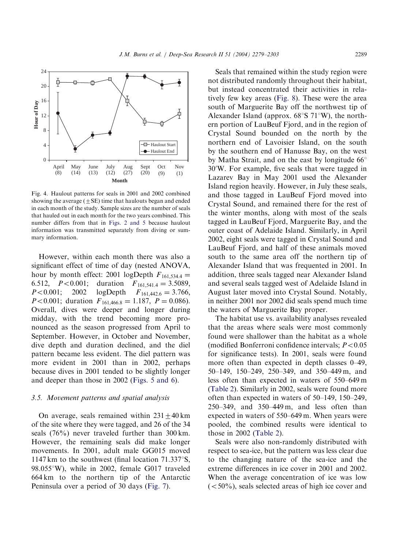<span id="page-10-0"></span>

Fig. 4. Haulout patterns for seals in 2001 and 2002 combined showing the average  $(\pm SE)$  time that haulouts began and ended in each month of the study. Sample sizes are the number of seals that hauled out in each month for the two years combined. This number differs from that in [Figs. 2 and 5](#page-8-0) because haulout information was transmitted separately from diving or summary information.

However, within each month there was also a significant effect of time of day (nested ANOVA, hour by month effect: 2001 logDepth  $F_{161,534,4} =$ 6.512,  $P < 0.001$ ; duration  $F_{161,541,4} = 3.5089$ ,  $P < 0.001$ ; 2002 logDepth  $F_{161,442.6} = 3.766$ ,  $P<0.001$ ; duration  $F_{161,466,8} = 1.187$ ,  $P = 0.086$ . Overall, dives were deeper and longer during midday, with the trend becoming more pronounced as the season progressed from April to September. However, in October and November, dive depth and duration declined, and the diel pattern became less evident. The diel pattern was more evident in 2001 than in 2002, perhaps because dives in 2001 tended to be slightly longer and deeper than those in 2002 ([Figs. 5 and 6\)](#page-11-0).

#### 3.5. Movement patterns and spatial analysis

On average, seals remained within  $231 \pm 40$  km of the site where they were tagged, and 26 of the 34 seals (76%) never traveled further than 300 km. However, the remaining seals did make longer movements. In 2001, adult male GG015 moved 1147 km to the southwest (final location  $71.337^{\circ}$ S,  $98.055^{\circ}$ W), while in 2002, female G017 traveled 664 km to the northern tip of the Antarctic Peninsula over a period of 30 days ([Fig. 7\)](#page-13-0).

Seals that remained within the study region were not distributed randomly throughout their habitat, but instead concentrated their activities in relatively few key areas ([Fig. 8](#page-14-0)). These were the area south of Marguerite Bay off the northwest tip of Alexander Island (approx.  $68^{\circ}S$  71°W), the northern portion of LauBeuf Fjord, and in the region of Crystal Sound bounded on the north by the northern end of Lavoisier Island, on the south by the southern end of Hanusse Bay, on the west by Matha Strait, and on the east by longitude  $66^{\circ}$ 30'W. For example, five seals that were tagged in Lazarev Bay in May 2001 used the Alexander Island region heavily. However, in July these seals, and those tagged in LauBeuf Fjord moved into Crystal Sound, and remained there for the rest of the winter months, along with most of the seals tagged in LauBeuf Fjord, Marguerite Bay, and the outer coast of Adelaide Island. Similarly, in April 2002, eight seals were tagged in Crystal Sound and LauBeuf Fjord, and half of these animals moved south to the same area off the northern tip of Alexander Island that was frequented in 2001. In addition, three seals tagged near Alexander Island and several seals tagged west of Adelaide Island in August later moved into Crystal Sound. Notably, in neither 2001 nor 2002 did seals spend much time the waters of Marguerite Bay proper.

The habitat use vs. availability analyses revealed that the areas where seals were most commonly found were shallower than the habitat as a whole (modified Bonferroni confidence intervals;  $P < 0.05$ for significance tests). In 2001, seals were found more often than expected in depth classes 0–49, 50–149, 150–249, 250–349, and 350–449 m, and less often than expected in waters of 550–649 m ([Table 2\)](#page-15-0). Similarly in 2002, seals were found more often than expected in waters of 50–149, 150–249, 250–349, and 350–449 m, and less often than expected in waters of 550–649 m. When years were pooled, the combined results were identical to those in 2002 ([Table 2](#page-15-0)).

Seals were also non-randomly distributed with respect to sea-ice, but the pattern was less clear due to the changing nature of the sea-ice and the extreme differences in ice cover in 2001 and 2002. When the average concentration of ice was low  $(<50\%)$ , seals selected areas of high ice cover and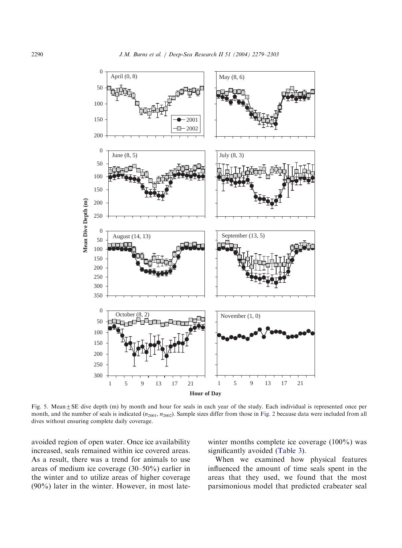<span id="page-11-0"></span>

Fig. 5. Mean $\pm$ SE dive depth (m) by month and hour for seals in each year of the study. Each individual is represented once per month, and the number of seals is indicated  $(n_{2001}, n_{2002})$ . Sample sizes differ from those in [Fig. 2](#page-8-0) because data were included from all dives without ensuring complete daily coverage.

avoided region of open water. Once ice availability increased, seals remained within ice covered areas. As a result, there was a trend for animals to use areas of medium ice coverage (30–50%) earlier in the winter and to utilize areas of higher coverage (90%) later in the winter. However, in most latewinter months complete ice coverage (100%) was significantly avoided [\(Table 3\)](#page-15-0).

When we examined how physical features influenced the amount of time seals spent in the areas that they used, we found that the most parsimonious model that predicted crabeater seal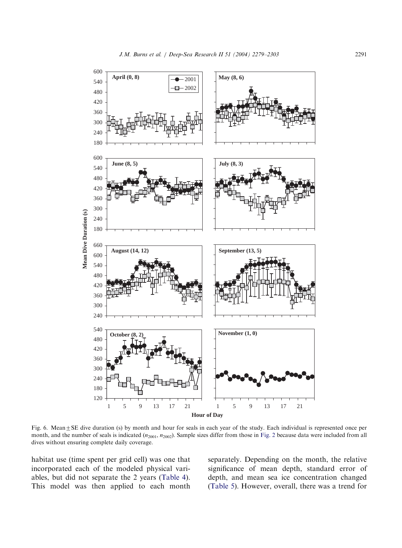

Fig. 6. Mean + SE dive duration (s) by month and hour for seals in each year of the study. Each individual is represented once per month, and the number of seals is indicated  $(n_{2001}, n_{2002})$ . Sample sizes differ from those in [Fig. 2](#page-8-0) because data were included from all dives without ensuring complete daily coverage.

habitat use (time spent per grid cell) was one that incorporated each of the modeled physical variables, but did not separate the 2 years ([Table 4\)](#page-16-0). This model was then applied to each month

separately. Depending on the month, the relative significance of mean depth, standard error of depth, and mean sea ice concentration changed ([Table 5](#page-16-0)). However, overall, there was a trend for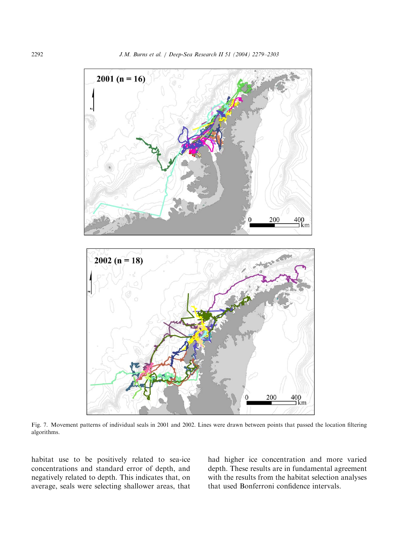<span id="page-13-0"></span>

Fig. 7. Movement patterns of individual seals in 2001 and 2002. Lines were drawn between points that passed the location filtering algorithms.

habitat use to be positively related to sea-ice concentrations and standard error of depth, and negatively related to depth. This indicates that, on average, seals were selecting shallower areas, that had higher ice concentration and more varied depth. These results are in fundamental agreement with the results from the habitat selection analyses that used Bonferroni confidence intervals.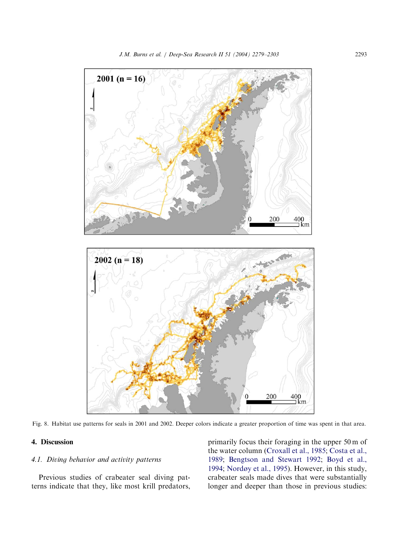<span id="page-14-0"></span>

Fig. 8. Habitat use patterns for seals in 2001 and 2002. Deeper colors indicate a greater proportion of time was spent in that area.

# 4. Discussion

## 4.1. Diving behavior and activity patterns

Previous studies of crabeater seal diving patterns indicate that they, like most krill predators,

primarily focus their foraging in the upper 50 m of the water column [\(Croxall et al., 1985](#page-22-0); [Costa et al.,](#page-22-0) [1989;](#page-22-0) [Bengtson and Stewart 1992](#page-21-0); [Boyd et al.,](#page-21-0) [1994;](#page-21-0) [Nordøy et al., 1995](#page-23-0)). However, in this study, crabeater seals made dives that were substantially longer and deeper than those in previous studies: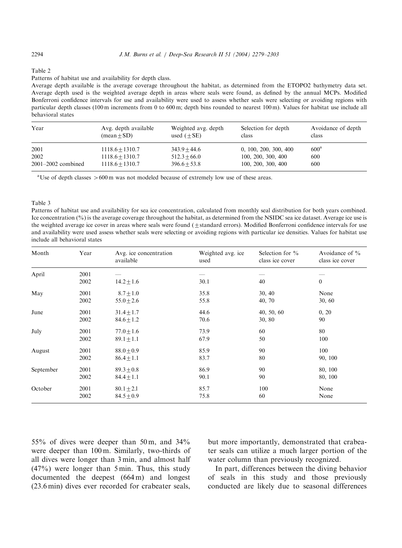#### Table 2

#### Patterns of habitat use and availability for depth class.

Average depth available is the average coverage throughout the habitat, as determined from the ETOPO2 bathymetry data set. Average depth used is the weighted average depth in areas where seals were found, as defined by the annual MCPs. Modified Bonferroni confidence intervals for use and availability were used to assess whether seals were selecting or avoiding regions with particular depth classes (100 m increments from 0 to 600 m; depth bins rounded to nearest 100 m). Values for habitat use include all behavioral states

| Year                 | Avg. depth available | Weighted avg. depth | Selection for depth   | Avoidance of depth |
|----------------------|----------------------|---------------------|-----------------------|--------------------|
|                      | $(mean + SD)$        | used $(+SE)$        | class                 | class              |
| 2001                 | $1118.6 + 1310.7$    | $343.9 + 44.6$      | 0, 100, 200, 300, 400 | 600 <sup>a</sup>   |
| 2002                 | $1118.6 + 1310.7$    | $512.3 + 66.0$      | 100, 200, 300, 400    | 600                |
| $2001-2002$ combined | $1118.6 + 1310.7$    | $396.6 + 53.8$      | 100, 200, 300, 400    | 600                |

<sup>a</sup>Use of depth classes  $>600 \text{ m}$  was not modeled because of extremely low use of these areas.

#### Table 3

Patterns of habitat use and availability for sea ice concentration, calculated from monthly seal distribution for both years combined. Ice concentration (%) is the average coverage throughout the habitat, as determined from the NSIDC sea ice dataset. Average ice use is the weighted average ice cover in areas where seals were found (+standard errors). Modified Bonferroni confidence intervals for use and availability were used assess whether seals were selecting or avoiding regions with particular ice densities. Values for habitat use include all behavioral states

| Month     | Year | Avg. ice concentration<br>available | Weighted avg. ice<br>used | Selection for $\%$<br>class ice cover | Avoidance of $\%$<br>class ice cover |
|-----------|------|-------------------------------------|---------------------------|---------------------------------------|--------------------------------------|
| April     | 2001 |                                     |                           |                                       |                                      |
|           | 2002 | $14.2 \pm 1.6$                      | 30.1                      | 40                                    | $\bf{0}$                             |
| May       | 2001 | $8.7 + 1.0$                         | 35.8                      | 30, 40                                | None                                 |
|           | 2002 | $55.0 \pm 2.6$                      | 55.8                      | 40, 70                                | 30, 60                               |
| June      | 2001 | $31.4 + 1.7$                        | 44.6                      | 40, 50, 60                            | 0, 20                                |
|           | 2002 | $84.6 \pm 1.2$                      | 70.6                      | 30, 80                                | 90                                   |
| July      | 2001 | $77.0 \pm 1.6$                      | 73.9                      | 60                                    | 80                                   |
|           | 2002 | $89.1 \pm 1.1$                      | 67.9                      | 50                                    | 100                                  |
| August    | 2001 | $88.0 + 0.9$                        | 85.9                      | 90                                    | 100                                  |
|           | 2002 | $86.4 \pm 1.1$                      | 83.7                      | 80                                    | 90, 100                              |
| September | 2001 | $89.3 + 0.8$                        | 86.9                      | 90                                    | 80, 100                              |
|           | 2002 | $84.4 + 1.1$                        | 90.1                      | 90                                    | 80, 100                              |
| October   | 2001 | $80.1 \pm 2.1$                      | 85.7                      | 100                                   | None                                 |
|           | 2002 | $84.5 \pm 0.9$                      | 75.8                      | 60                                    | None                                 |

55% of dives were deeper than 50 m, and 34% were deeper than 100 m. Similarly, two-thirds of all dives were longer than 3 min, and almost half (47%) were longer than 5 min. Thus, this study documented the deepest (664 m) and longest (23.6 min) dives ever recorded for crabeater seals,

but more importantly, demonstrated that crabeater seals can utilize a much larger portion of the water column than previously recognized.

In part, differences between the diving behavior of seals in this study and those previously conducted are likely due to seasonal differences

<span id="page-15-0"></span>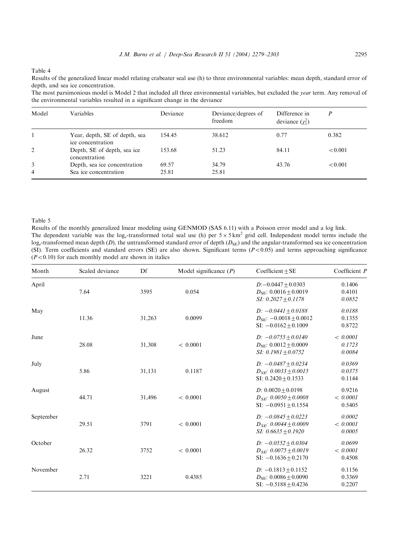<span id="page-16-0"></span>Table 4

Results of the generalized linear model relating crabeater seal use (h) to three environmental variables: mean depth, standard error of depth, and sea ice concentration.

The most parsimonious model is Model 2 that included all three environmental variables, but excluded the year term. Any removal of the environmental variables resulted in a significant change in the deviance

| Model | Variables                                          | Deviance | Deviance/degrees of<br>freedom | Difference in<br>deviance $(\chi_1^2)$ |         |
|-------|----------------------------------------------------|----------|--------------------------------|----------------------------------------|---------|
|       | Year, depth, SE of depth, sea<br>ice concentration | 154.45   | 38.612                         | 0.77                                   | 0.382   |
| 2     | Depth, SE of depth, sea ice<br>concentration       | 153.68   | 51.23                          | 84.11                                  | < 0.001 |
| 3     | Depth, sea ice concentration                       | 69.57    | 34.79                          | 43.76                                  | < 0.001 |
| 4     | Sea ice concentration                              | 25.81    | 25.81                          |                                        |         |

#### Table 5

Results of the monthly generalized linear modeling using GENMOD (SAS 6.11) with a Poisson error model and a log link. The dependent variable was the log<sub>e</sub>-transformed total seal use (h) per  $5 \times 5 \text{ km}^2$  grid cell. Independent model terms include the  $log_e$ -transformed mean depth (D), the untransformed standard error of depth ( $D_{\text{SE}}$ ) and the angular-transformed sea ice concentration (SI). Term coefficients and standard errors (SE) are also shown. Significant terms  $(P<0.05)$  and terms approaching significance  $(P<0.10)$  for each monthly model are shown in italics

| Month     | Scaled deviance | Df     | Model significance $(P)$ | $Coefficient + SE$                                                                        | Coefficient $P$              |
|-----------|-----------------|--------|--------------------------|-------------------------------------------------------------------------------------------|------------------------------|
| April     | 7.64            | 3595   | 0.054                    | $D$ : $-0.0447 \pm 0.0303$<br>$D_{SE}$ : 0.0016 + 0.0019<br>$SI: 0.2027 + 0.1178$         | 0.1406<br>0.4101<br>0.0852   |
| May       | 11.36           | 31,263 | 0.0099                   | $D: -0.0441 + 0.0188$<br>$D_{\text{SE}}$ : $-0.0018 \pm 0.0012$<br>$SI: -0.0162 + 0.1009$ | 0.0188<br>0.1355<br>0.8722   |
| June      | 28.08           | 31,308 | < 0.0001                 | $D: -0.0755 + 0.0140$<br>$D_{SE}$ : 0.0012 + 0.0009<br>$SI: 0.1981 + 0.0752$              | < 0.0001<br>0.1723<br>0.0084 |
| July      | 5.86            | 31,131 | 0.1187                   | $D: -0.0487 + 0.0234$<br>$D_{SE}$ : 0.0033 + 0.0015<br>$SI: 0.2420 + 0.1533$              | 0.0369<br>0.0375<br>0.1144   |
| August    | 44.71           | 31,496 | < 0.0001                 | $D: 0.0020 + 0.0198$<br>$D_{SE}$ : 0.0050 + 0.0008<br>SI: $-0.0951 \pm 0.1554$            | 0.9216<br>< 0.0001<br>0.5405 |
| September | 29.51           | 3791   | < 0.0001                 | $D: -0.0845 \pm 0.0223$<br>$D_{SE}$ : 0.0044 + 0.0009<br>$SI: 0.6635 + 0.1920$            | 0.0002<br>< 0.0001<br>0.0005 |
| October   | 26.32           | 3752   | < 0.0001                 | $D: -0.0552 + 0.0304$<br>$D_{SE}: 0.0075 \pm 0.0019$<br>$SI: -0.1636 + 0.2170$            | 0.0699<br>< 0.0001<br>0.4508 |
| November  | 2.71            | 3221   | 0.4385                   | $D: -0.1813 + 0.1152$<br>$D_{\rm SE}$ : 0.0086 + 0.0090<br>$SI: -0.5188 + 0.4236$         | 0.1156<br>0.3369<br>0.2207   |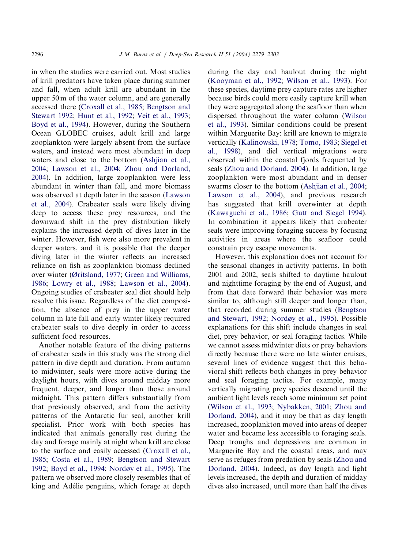in when the studies were carried out. Most studies of krill predators have taken place during summer and fall, when adult krill are abundant in the upper 50 m of the water column, and are generally accessed there ([Croxall et al., 1985;](#page-22-0) [Bengtson and](#page-21-0) [Stewart 1992;](#page-21-0) [Hunt et al., 1992](#page-22-0); [Veit et al., 1993](#page-24-0); [Boyd et al., 1994](#page-21-0)). However, during the Southern Ocean GLOBEC cruises, adult krill and large zooplankton were largely absent from the surface waters, and instead were most abundant in deep waters and close to the bottom ([Ashjian et al.,](#page-21-0) [2004](#page-21-0); [Lawson et al., 2004;](#page-23-0) [Zhou and Dorland,](#page-24-0) [2004](#page-24-0)). In addition, large zooplankton were less abundant in winter than fall, and more biomass was observed at depth later in the season [\(Lawson](#page-23-0) [et al., 2004\)](#page-23-0). Crabeater seals were likely diving deep to access these prey resources, and the downward shift in the prey distribution likely explains the increased depth of dives later in the winter. However, fish were also more prevalent in deeper waters, and it is possible that the deeper diving later in the winter reflects an increased reliance on fish as zooplankton biomass declined over winter [\(Øritsland, 1977](#page-23-0); [Green and Williams,](#page-22-0) [1986](#page-22-0); [Lowry et al., 1988](#page-23-0); [Lawson et al., 2004\)](#page-23-0). Ongoing studies of crabeater seal diet should help resolve this issue. Regardless of the diet composition, the absence of prey in the upper water column in late fall and early winter likely required crabeater seals to dive deeply in order to access sufficient food resources.

Another notable feature of the diving patterns of crabeater seals in this study was the strong diel pattern in dive depth and duration. From autumn to midwinter, seals were more active during the daylight hours, with dives around midday more frequent, deeper, and longer than those around midnight. This pattern differs substantially from that previously observed, and from the activity patterns of the Antarctic fur seal, another krill specialist. Prior work with both species has indicated that animals generally rest during the day and forage mainly at night when krill are close to the surface and easily accessed [\(Croxall et al.,](#page-22-0) [1985](#page-22-0); [Costa et al., 1989](#page-22-0); [Bengtson and Stewart](#page-21-0) [1992](#page-21-0); [Boyd et al., 1994;](#page-21-0) [Nordøy et al., 1995\)](#page-23-0). The pattern we observed more closely resembles that of king and Adélie penguins, which forage at depth

during the day and haulout during the night ([Kooyman et al., 1992;](#page-22-0) [Wilson et al., 1993\)](#page-24-0). For these species, daytime prey capture rates are higher because birds could more easily capture krill when they were aggregated along the seafloor than when dispersed throughout the water column ([Wilson](#page-24-0) [et al., 1993\)](#page-24-0). Similar conditions could be present within Marguerite Bay: krill are known to migrate vertically [\(Kalinowski, 1978](#page-22-0); [Tomo, 1983;](#page-23-0) [Siegel et](#page-23-0) [al., 1998\)](#page-23-0), and diel vertical migrations were observed within the coastal fjords frequented by seals [\(Zhou and Dorland, 2004\)](#page-24-0). In addition, large zooplankton were most abundant and in denser swarms closer to the bottom ([Ashjian et al., 2004](#page-21-0); [Lawson et al., 2004\)](#page-23-0), and previous research has suggested that krill overwinter at depth ([Kawaguchi et al., 1986](#page-22-0); [Gutt and Siegel 1994\)](#page-22-0). In combination it appears likely that crabeater seals were improving foraging success by focusing activities in areas where the seafloor could constrain prey escape movements.

However, this explanation does not account for the seasonal changes in activity patterns. In both 2001 and 2002, seals shifted to daytime haulout and nighttime foraging by the end of August, and from that date forward their behavior was more similar to, although still deeper and longer than, that recorded during summer studies [\(Bengtson](#page-21-0) [and Stewart, 1992](#page-21-0); [Nordøy et al., 1995\)](#page-23-0). Possible explanations for this shift include changes in seal diet, prey behavior, or seal foraging tactics. While we cannot assess midwinter diets or prey behaviors directly because there were no late winter cruises, several lines of evidence suggest that this behavioral shift reflects both changes in prey behavior and seal foraging tactics. For example, many vertically migrating prey species descend until the ambient light levels reach some minimum set point ([Wilson et al., 1993](#page-24-0); [Nybakken, 2001;](#page-23-0) [Zhou and](#page-24-0) [Dorland, 2004](#page-24-0)), and it may be that as day length increased, zooplankton moved into areas of deeper water and became less accessible to foraging seals. Deep troughs and depressions are common in Marguerite Bay and the coastal areas, and may serve as refuges from predation by seals [\(Zhou and](#page-24-0) [Dorland, 2004](#page-24-0)). Indeed, as day length and light levels increased, the depth and duration of midday dives also increased, until more than half the dives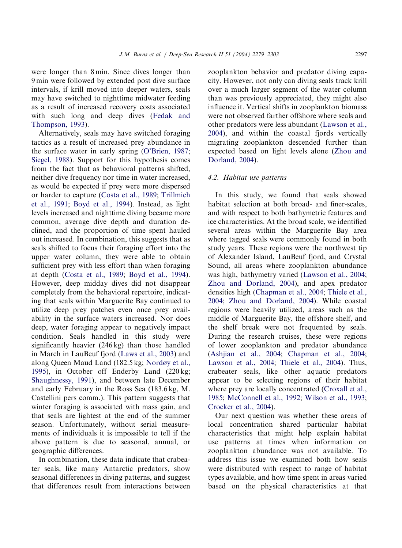were longer than 8 min. Since dives longer than 9 min were followed by extended post dive surface intervals, if krill moved into deeper waters, seals may have switched to nighttime midwater feeding as a result of increased recovery costs associated with such long and deep dives ([Fedak and](#page-22-0) [Thompson, 1993\)](#page-22-0).

Alternatively, seals may have switched foraging tactics as a result of increased prey abundance in the surface water in early spring ([O'Brien, 1987](#page-23-0); [Siegel, 1988](#page-23-0)). Support for this hypothesis comes from the fact that as behavioral patterns shifted, neither dive frequency nor time in water increased, as would be expected if prey were more dispersed or harder to capture ([Costa et al., 1989](#page-22-0); [Trillmich](#page-23-0) [et al., 1991](#page-23-0); [Boyd et al., 1994](#page-21-0)). Instead, as light levels increased and nighttime diving became more common, average dive depth and duration declined, and the proportion of time spent hauled out increased. In combination, this suggests that as seals shifted to focus their foraging effort into the upper water column, they were able to obtain sufficient prey with less effort than when foraging at depth ([Costa et al., 1989](#page-22-0); [Boyd et al., 1994\)](#page-21-0). However, deep midday dives did not disappear completely from the behavioral repertoire, indicating that seals within Marguerite Bay continued to utilize deep prey patches even once prey availability in the surface waters increased. Nor does deep, water foraging appear to negatively impact condition. Seals handled in this study were significantly heavier (246 kg) than those handled in March in LauBeuf fjord [\(Laws et al., 2003](#page-23-0)) and along Queen Maud Land (182.5 kg; [Nordøy et al.,](#page-23-0) [1995](#page-23-0)), in October off Enderby Land (220 kg; [Shaughnessy, 1991](#page-23-0)), and between late December and early February in the Ross Sea (183.6 kg, M. Castellini pers comm.). This pattern suggests that winter foraging is associated with mass gain, and that seals are lightest at the end of the summer season. Unfortunately, without serial measurements of individuals it is impossible to tell if the above pattern is due to seasonal, annual, or geographic differences.

In combination, these data indicate that crabeater seals, like many Antarctic predators, show seasonal differences in diving patterns, and suggest that differences result from interactions between zooplankton behavior and predator diving capacity. However, not only can diving seals track krill over a much larger segment of the water column than was previously appreciated, they might also influence it. Vertical shifts in zooplankton biomass were not observed farther offshore where seals and other predators were less abundant ([Lawson et al.,](#page-23-0) [2004\)](#page-23-0), and within the coastal fjords vertically migrating zooplankton descended further than expected based on light levels alone ([Zhou and](#page-24-0) [Dorland, 2004\)](#page-24-0).

#### 4.2. Habitat use patterns

In this study, we found that seals showed habitat selection at both broad- and finer-scales, and with respect to both bathymetric features and ice characteristics. At the broad scale, we identified several areas within the Marguerite Bay area where tagged seals were commonly found in both study years. These regions were the northwest tip of Alexander Island, LauBeuf fjord, and Crystal Sound, all areas where zooplankton abundance was high, bathymetry varied [\(Lawson et al., 2004](#page-23-0); [Zhou and Dorland, 2004\)](#page-24-0), and apex predator densities high ([Chapman et al., 2004;](#page-22-0) [Thiele et al.,](#page-23-0) [2004;](#page-23-0) [Zhou and Dorland, 2004\)](#page-24-0). While coastal regions were heavily utilized, areas such as the middle of Marguerite Bay, the offshore shelf, and the shelf break were not frequented by seals. During the research cruises, these were regions of lower zooplankton and predator abundance ([Ashjian et al., 2004](#page-21-0); [Chapman et al., 2004](#page-22-0); [Lawson et al., 2004](#page-23-0); [Thiele et al., 2004](#page-23-0)). Thus, crabeater seals, like other aquatic predators appear to be selecting regions of their habitat where prey are locally concentrated ([Croxall et al.,](#page-22-0) [1985;](#page-22-0) [McConnell et al., 1992;](#page-23-0) [Wilson et al., 1993](#page-24-0); [Crocker et al., 2004\)](#page-22-0).

Our next question was whether these areas of local concentration shared particular habitat characteristics that might help explain habitat use patterns at times when information on zooplankton abundance was not available. To address this issue we examined both how seals were distributed with respect to range of habitat types available, and how time spent in areas varied based on the physical characteristics at that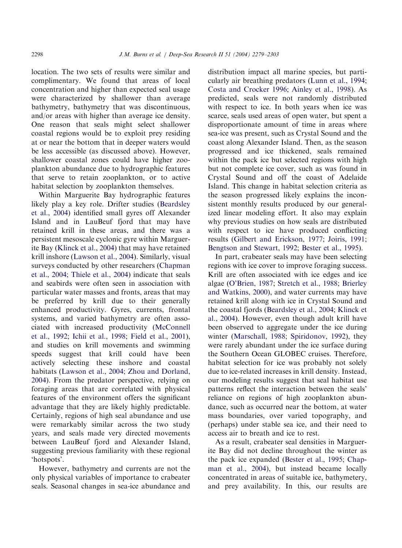location. The two sets of results were similar and complimentary. We found that areas of local concentration and higher than expected seal usage were characterized by shallower than average bathymetry, bathymetry that was discontinuous, and/or areas with higher than average ice density. One reason that seals might select shallower coastal regions would be to exploit prey residing at or near the bottom that in deeper waters would be less accessible (as discussed above). However, shallower coastal zones could have higher zooplankton abundance due to hydrographic features that serve to retain zooplankton, or to active habitat selection by zooplankton themselves.

Within Marguerite Bay hydrographic features likely play a key role. Drifter studies [\(Beardsley](#page-21-0) [et al., 2004](#page-21-0)) identified small gyres off Alexander Island and in LauBeuf fjord that may have retained krill in these areas, and there was a persistent mesoscale cyclonic gyre within Marguerite Bay ([Klinck et al., 2004\)](#page-22-0) that may have retained krill inshore [\(Lawson et al., 2004](#page-23-0)). Similarly, visual surveys conducted by other researchers ([Chapman](#page-22-0) [et al., 2004](#page-22-0); [Thiele et al., 2004\)](#page-23-0) indicate that seals and seabirds were often seen in association with particular water masses and fronts, areas that may be preferred by krill due to their generally enhanced productivity. Gyres, currents, frontal systems, and varied bathymetry are often associated with increased productivity ([McConnell](#page-23-0) [et al., 1992](#page-23-0); [Ichii et al., 1998](#page-22-0); [Field et al., 2001\)](#page-22-0), and studies on krill movements and swimming speeds suggest that krill could have been actively selecting these inshore and coastal habitats [\(Lawson et al., 2004](#page-23-0); [Zhou and Dorland,](#page-24-0) [2004](#page-24-0)). From the predator perspective, relying on foraging areas that are correlated with physical features of the environment offers the significant advantage that they are likely highly predictable. Certainly, regions of high seal abundance and use were remarkably similar across the two study years, and seals made very directed movements between LauBeuf fjord and Alexander Island, suggesting previous familiarity with these regional 'hotspots'.

However, bathymetry and currents are not the only physical variables of importance to crabeater seals. Seasonal changes in sea-ice abundance and distribution impact all marine species, but particularly air breathing predators [\(Lunn et al., 1994](#page-23-0); [Costa and Crocker 1996;](#page-22-0) [Ainley et al., 1998](#page-21-0)). As predicted, seals were not randomly distributed with respect to ice. In both years when ice was scarce, seals used areas of open water, but spent a disproportionate amount of time in areas where sea-ice was present, such as Crystal Sound and the coast along Alexander Island. Then, as the season progressed and ice thickened, seals remained within the pack ice but selected regions with high but not complete ice cover, such as was found in Crystal Sound and off the coast of Adelaide Island. This change in habitat selection criteria as the season progressed likely explains the inconsistent monthly results produced by our generalized linear modeling effort. It also may explain why previous studies on how seals are distributed with respect to ice have produced conflicting results ([Gilbert and Erickson, 1977](#page-22-0); [Joiris, 1991](#page-22-0); [Bengtson and Stewart, 1992;](#page-21-0) [Bester et al., 1995\)](#page-21-0).

In part, crabeater seals may have been selecting regions with ice cover to improve foraging success. Krill are often associated with ice edges and ice algae [\(O'Brien, 1987;](#page-23-0) [Stretch et al., 1988](#page-23-0); [Brierley](#page-22-0) [and Watkins, 2000](#page-22-0)), and water currents may have retained krill along with ice in Crystal Sound and the coastal fjords [\(Beardsley et al., 2004;](#page-21-0) [Klinck et](#page-22-0) [al., 2004](#page-22-0)). However, even though adult krill have been observed to aggregate under the ice during winter [\(Marschall, 1988](#page-23-0); [Spiridonov, 1992](#page-23-0)), they were rarely abundant under the ice surface during the Southern Ocean GLOBEC cruises. Therefore, habitat selection for ice was probably not solely due to ice-related increases in krill density. Instead, our modeling results suggest that seal habitat use patterns reflect the interaction between the seals' reliance on regions of high zooplankton abundance, such as occurred near the bottom, at water mass boundaries, over varied topography, and (perhaps) under stable sea ice, and their need to access air to breath and ice to rest.

As a result, crabeater seal densities in Marguerite Bay did not decline throughout the winter as the pack ice expanded ([Bester et al., 1995;](#page-21-0) [Chap](#page-22-0)[man et al., 2004\)](#page-22-0), but instead became locally concentrated in areas of suitable ice, bathymetery, and prey availability. In this, our results are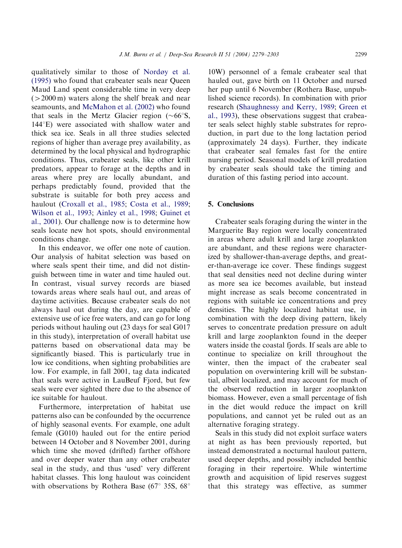qualitatively similar to those of [Nordøy et al.](#page-23-0) [\(1995\)](#page-23-0) who found that crabeater seals near Queen Maud Land spent considerable time in very deep  $(>2000 \,\mathrm{m})$  waters along the shelf break and near seamounts, and [McMahon et al. \(2002\)](#page-23-0) who found that seals in the Mertz Glacier region  $(~66^{\circ}S,~)$  $144^{\circ}$ E) were associated with shallow water and thick sea ice. Seals in all three studies selected regions of higher than average prey availability, as determined by the local physical and hydrographic conditions. Thus, crabeater seals, like other krill predators, appear to forage at the depths and in areas where prey are locally abundant, and perhaps predictably found, provided that the substrate is suitable for both prey access and haulout [\(Croxall et al., 1985](#page-22-0); [Costa et al., 1989](#page-22-0); [Wilson et al., 1993](#page-24-0); [Ainley et al., 1998](#page-21-0); [Guinet et](#page-22-0) [al., 2001\)](#page-22-0). Our challenge now is to determine how seals locate new hot spots, should environmental conditions change.

In this endeavor, we offer one note of caution. Our analysis of habitat selection was based on where seals spent their time, and did not distinguish between time in water and time hauled out. In contrast, visual survey records are biased towards areas where seals haul out, and areas of daytime activities. Because crabeater seals do not always haul out during the day, are capable of extensive use of ice free waters, and can go for long periods without hauling out (23 days for seal G017 in this study), interpretation of overall habitat use patterns based on observational data may be significantly biased. This is particularly true in low ice conditions, when sighting probabilities are low. For example, in fall 2001, tag data indicated that seals were active in LauBeuf Fjord, but few seals were ever sighted there due to the absence of ice suitable for haulout.

Furthermore, interpretation of habitat use patterns also can be confounded by the occurrence of highly seasonal events. For example, one adult female (G010) hauled out for the entire period between 14 October and 8 November 2001, during which time she moved (drifted) farther offshore and over deeper water than any other crabeater seal in the study, and thus 'used' very different habitat classes. This long haulout was coincident with observations by Rothera Base (67 $\degree$  35S, 68 $\degree$ 

10W) personnel of a female crabeater seal that hauled out, gave birth on 11 October and nursed her pup until 6 November (Rothera Base, unpublished science records). In combination with prior research ([Shaughnessy and Kerry, 1989;](#page-23-0) [Green et](#page-22-0) [al., 1993](#page-22-0)), these observations suggest that crabeater seals select highly stable substrates for reproduction, in part due to the long lactation period (approximately 24 days). Further, they indicate that crabeater seal females fast for the entire nursing period. Seasonal models of krill predation by crabeater seals should take the timing and duration of this fasting period into account.

# 5. Conclusions

Crabeater seals foraging during the winter in the Marguerite Bay region were locally concentrated in areas where adult krill and large zooplankton are abundant, and these regions were characterized by shallower-than-average depths, and greater-than-average ice cover. These findings suggest that seal densities need not decline during winter as more sea ice becomes available, but instead might increase as seals become concentrated in regions with suitable ice concentrations and prey densities. The highly localized habitat use, in combination with the deep diving pattern, likely serves to concentrate predation pressure on adult krill and large zooplankton found in the deeper waters inside the coastal fjords. If seals are able to continue to specialize on krill throughout the winter, then the impact of the crabeater seal population on overwintering krill will be substantial, albeit localized, and may account for much of the observed reduction in larger zooplankton biomass. However, even a small percentage of fish in the diet would reduce the impact on krill populations, and cannot yet be ruled out as an alternative foraging strategy.

Seals in this study did not exploit surface waters at night as has been previously reported, but instead demonstrated a nocturnal haulout pattern, used deeper depths, and possibly included benthic foraging in their repertoire. While wintertime growth and acquisition of lipid reserves suggest that this strategy was effective, as summer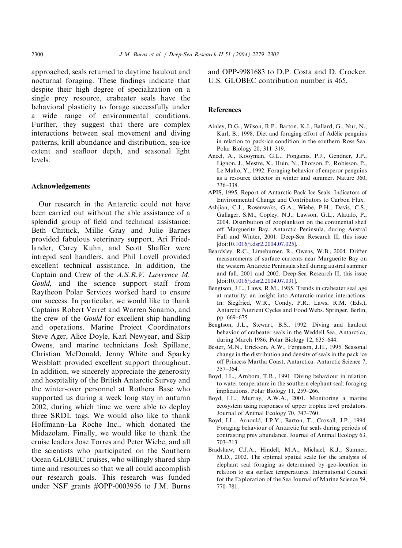<span id="page-21-0"></span>approached, seals returned to daytime haulout and nocturnal foraging. These findings indicate that despite their high degree of specialization on a single prey resource, crabeater seals have the behavioral plasticity to forage successfully under a wide range of environmental conditions. Further, they suggest that there are complex interactions between seal movement and diving patterns, krill abundance and distribution, sea-ice extent and seafloor depth, and seasonal light levels.

#### Acknowledgements

Our research in the Antarctic could not have been carried out without the able assistance of a splendid group of field and technical assistance: Beth Chittick, Millie Gray and Julie Barnes provided fabulous veterinary support, Ari Friedlander, Carey Kuhn, and Scott Shaffer were intrepid seal handlers, and Phil Lovell provided excellent technical assistance. In addition, the Captain and Crew of the A.S.R.V. Lawrence M. Gould, and the science support staff from Raytheon Polar Services worked hard to ensure our success. In particular, we would like to thank Captains Robert Verret and Warren Sanamo, and the crew of the Gould for excellent ship handling and operations. Marine Project Coordinators Steve Ager, Alice Doyle, Karl Newyear, and Skip Owens, and marine technicians Josh Spillane, Christian McDonald, Jenny White and Sparky Weisblatt provided excellent support throughout. In addition, we sincerely appreciate the generosity and hospitality of the British Antarctic Survey and the winter-over personnel at Rothera Base who supported us during a week long stay in autumn 2002, during which time we were able to deploy three SRDL tags. We would also like to thank Hoffmann–La Roche Inc., which donated the Midazolam. Finally, we would like to thank the cruise leaders Jose Torres and Peter Wiebe, and all the scientists who participated on the Southern Ocean GLOBEC cruises, who willingly shared ship time and resources so that we all could accomplish our research goals. This research was funded under NSF grants #OPP-0003956 to J.M. Burns and OPP-9981683 to D.P. Costa and D. Crocker. U.S. GLOBEC contribution number is 465.

#### References

- Ainley, D.G., Wilson, R.P., Barton, K.J., Ballard, G., Nur, N., Karl, B., 1998. Diet and foraging effort of Adélie penguins in relation to pack-ice condition in the southern Ross Sea. Polar Biology 20, 311–319.
- Ancel, A., Kooyman, G.L., Ponganis, P.J., Gendner, J.P., Lignon, J., Mestre, X., Huin, N., Thorson, P., Robisson, P., Le Maho, Y., 1992. Foraging behavior of emperor penguins as a resource detector in winter and summer. Nature 360, 336–338.
- APIS, 1995. Report of Antarctic Pack Ice Seals: Indicators of Environmental Change and Contributors to Carbon Flux.
- Ashjian, C.J., Rosenwaks, G.A., Wiebe, P.H., Davis, C.S., Gallager, S.M., Copley, N.J., Lawson, G.L., Alatalo, P., 2004. Distribution of zooplankton on the continental shelf off Marguerite Bay, Antarctic Peninsula, during Austral Fall and Winter, 2001. Deep-Sea Research II, this issue [doi:[10.1016/j.dsr2.2004.07.025](http://10.1016/j.dsr2.2004.07.025)].
- Beardsley, R.C., Limeburner, R., Owens, W.B., 2004. Drifter measurements of surface currents near Marguerite Bay on the western Antarctic Peninsula shelf during austral summer and fall, 2001 and 2002. Deep-Sea Research II, this issue [doi:[10.1016/j.dsr2.2004.07.031](http://10.1016/j.dsr2.2004.07.031)].
- Bengtson, J.L., Laws, R.M., 1985. Trends in crabeater seal age at maturity: an insight into Antarctic marine interactions. In: Siegfried, W.R., Condy, P.R., Laws, R.M. (Eds.), Antarctic Nutrient Cycles and Food Webs. Springer, Berlin, pp. 669–675.
- Bengtson, J.L., Stewart, B.S., 1992. Diving and haulout behavior of crabeater seals in the Weddell Sea, Antarctica, during March 1986. Polar Biology 12, 635–644.
- Bester, M.N., Erickson, A.W., Ferguson, J.H., 1995. Seasonal change in the distribution and density of seals in the pack ice off Princess Martha Coast, Antarctica. Antarctic Science 7, 357–364.
- Boyd, I.L., Arnbom, T.R., 1991. Diving behaviour in relation to water temperature in the southern elephant seal: foraging implications. Polar Biology 11, 259–266.
- Boyd, I.L., Murray, A.W.A., 2001. Monitoring a marine ecosystem using responses of upper trophic level predators. Journal of Animal Ecology 70, 747–760.
- Boyd, I.L., Arnould, J.P.Y., Barton, T., Croxall, J.P., 1994. Foraging behaviour of Antarctic fur seals during periods of contrasting prey abundance. Journal of Animal Ecology 63, 703–713.
- Bradshaw, C.J.A., Hindell, M.A., Michael, K.J., Sumner, M.D., 2002. The optimal spatial scale for the analysis of elephant seal foraging as determined by geo-location in relation to sea surface temperatures. International Council for the Exploration of the Sea Journal of Marine Science 59, 770–781.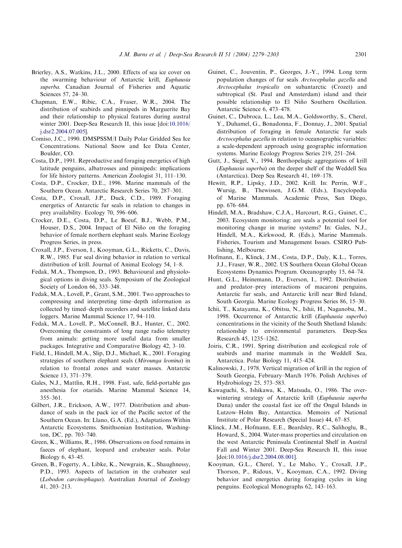- <span id="page-22-0"></span>Brierley, A.S., Watkins, J.L., 2000. Effects of sea ice cover on the swarming behaviour of Antarctic krill, Euphausia superba. Canadian Journal of Fisheries and Aquatic Sciences 57, 24–30.
- Chapman, E.W., Ribic, C.A., Fraser, W.R., 2004. The distribution of seabirds and pinnipeds in Marguerite Bay and their relationship to physical features during austral winter 2001. Deep-Sea Research II, this issue [doi[:10.1016/](http://10.1016/j.dsr2.2004.07.005) [j.dsr2.2004.07.005](http://10.1016/j.dsr2.2004.07.005)].
- Comiso, J.C., 1990. DMSPSSM/I Daily Polar Gridded Sea Ice Concentrations. National Snow and Ice Data Center, Boulder, CO.
- Costa, D.P., 1991. Reproductive and foraging energetics of high latitude penguins, albatrosses and pinnipeds: implications for life history patterns. American Zoologist 31, 111–130.
- Costa, D.P., Crocker, D.E., 1996. Marine mammals of the Southern Ocean. Antarctic Research Series 70, 287–301.
- Costa, D.P., Croxall, J.P., Duck, C.D., 1989. Foraging energetics of Antarctic fur seals in relation to changes in prey availability. Ecology 70, 596–606.
- Crocker, D.E., Costa, D.P., Le Boeuf, B.J., Webb, P.M., Houser, D.S., 2004. Impact of El Niño on the foraging behavior of female northern elephant seals. Marine Ecology Progress Series, in press.
- Croxall, J.P., Everson, I., Kooyman, G.L., Ricketts, C., Davis, R.W., 1985. Fur seal diving behavior in relation to vertical distribution of krill. Journal of Animal Ecology 54, 1–8.
- Fedak, M.A., Thompson, D., 1993. Behavioural and physiological options in diving seals. Symposium of the Zoological Society of London 66, 333–348.
- Fedak, M.A., Lovell, P., Grant, S.M., 2001. Two approaches to compressing and interpreting time–depth information as collected by timed–depth recorders and satellite linked data loggers. Marine Mammal Science 17, 94–110.
- Fedak, M.A., Lovell, P., McConnell, B.J., Hunter, C., 2002. Overcoming the constraints of long range radio telemetry from animals: getting more useful data from smaller packages. Integrative and Comparative Biology 42, 3–10.
- Field, I., Hindell, M.A., Slip, D.J., Michael, K., 2001. Foraging strategies of southern elephant seals (Mirounga leonina) in relation to frontal zones and water masses. Antarctic Science 13, 371–379.
- Gales, N.J., Mattlin, R.H., 1998. Fast, safe, field-portable gas anesthesia for otariids. Marine Mammal Science 14, 355–361.
- Gilbert, J.R., Erickson, A.W., 1977. Distribution and abundance of seals in the pack ice of the Pacific sector of the Southern Ocean. In: Llano, G.A. (Ed.), Adaptations Within Antarctic Ecosystems. Smithsonian Institution, Washington, DC, pp. 703–740.
- Green, K., Williams, R., 1986. Observations on food remains in faeces of elephant, leopard and crabeater seals. Polar Biology 6, 43–45.
- Green, B., Fogerty, A., Libke, K., Newgrain, K., Shaughnessy, P.D., 1993. Aspects of lactation in the crabeater seal (Lobodon carcinophagus). Australian Journal of Zoology 41, 203–213.
- Guinet, C., Jouventin, P., Georges, J.-Y., 1994. Long term population changes of fur seals Arctocephalus gazella and Arctocephalus tropicalis on subantarctic (Crozet) and subtropical (St. Paul and Amsterdam) island and their possible relationship to El Niño Southern Oscillation. Antarctic Science 6, 473–478.
- Guinet, C., Dubroca, L., Lea, M.A., Goldsworthy, S., Cherel, Y., Duhamel, G., Bonadonna, F., Donnay, J., 2001. Spatial distribution of foraging in female Antarctic fur seals Arctocephalus gazella in relation to oceanographic variables: a scale-dependent approach using geographic information systems. Marine Ecology Progress Series 219, 251–264.
- Gutt, J., Siegel, V., 1994. Benthopelagic aggregations of krill (Euphausia superba) on the deeper shelf of the Weddell Sea (Antarctica). Deep Sea Research 41, 169–178.
- Hewitt, R.P., Lipsky, J.D., 2002. Krill. In: Perrin, W.F., Wursig, B., Thewissen, J.G.M. (Eds.), Encyclopedia of Marine Mammals. Academic Press, San Diego, pp. 676–684.
- Hindell, M.A., Bradshaw, C.J.A., Harcourt, R.G., Guinet, C., 2003. Ecosystem monitoring: are seals a potential tool for monitoring change in marine systems? In: Gales, N.J., Hindell, M.A., Kirkwood, R. (Eds.), Marine Mammals. Fisheries, Tourism and Management Issues. CSIRO Publishing, Melbourne.
- Hofmann, E., Klinck, J.M., Costa, D.P., Daly, K.L., Torres, J.J., Fraser, W.R., 2002. US Southern Ocean Global Ocean Ecosystems Dynamics Program. Oceanography 15, 64–74.
- Hunt, G.L., Heinemann, D., Everson, I., 1992. Distribution and predator–prey interactions of macaroni penguins, Antarctic fur seals, and Antarctic krill near Bird Island, South Georgia. Marine Ecology Progress Series 86, 15–30.
- Ichii, T., Katayama, K., Obitsu, N., Ishii, H., Naganobu, M., 1998. Occurrence of Antarctic krill (Euphausia superba) concentrations in the vicinity of the South Shetland Islands: relationship to environmental parameters. Deep-Sea Research 45, 1235–1262.
- Joiris, C.R., 1991. Spring distribution and ecological role of seabirds and marine mammals in the Weddell Sea, Antarctica. Polar Biology 11, 415–424.
- Kalinowski, J., 1978. Vertical migration of krill in the region of South Georgia, February–March 1976. Polish Archives of Hydrobiology 25, 573–583.
- Kawaguchi, S., Ishikawa, K., Matsuda, O., 1986. The overwintering strategy of Antarctic krill (Euphausia superba Dana) under the coastal fast ice off the Ongul Islands in Lutzow–Holm Bay, Antarctica. Memoirs of National Institute of Polar Research (Special Issue) 44, 67–85.
- Klinck, J.M., Hofmann, E.E., Beardsley, R.C., Salihoglu, B., Howard, S., 2004. Water-mass properties and circulation on the west Antarctic Peninsula Continental Shelf in Austral Fall and Winter 2001. Deep-Sea Research II, this issue [doi:[10.1016/j.dsr2.2004.08.001](http://10.1016/j.dsr2.2004.08.001)].
- Kooyman, G.L., Cherel, Y., Le Maho, Y., Croxall, J.P., Thorson, P., Ridoux, V., Kooyman, C.A., 1992. Diving behavior and energetics during foraging cycles in king penguins. Ecological Monographs 62, 143–163.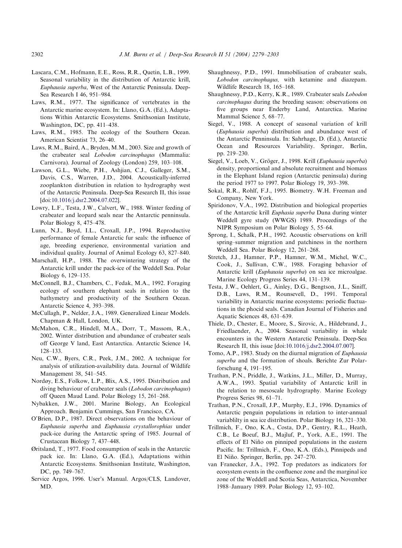- <span id="page-23-0"></span>Lascara, C.M., Hofmann, E.E., Ross, R.R., Quetin, L.B., 1999. Seasonal variability in the distribution of Antarctic krill, Euphausia superba, West of the Antarctic Peninsula. Deep-Sea Research I 46, 951–984.
- Laws, R.M., 1977. The significance of vertebrates in the Antarctic marine ecosystem. In: Llano, G.A. (Ed.), Adaptations Within Antarctic Ecosystems. Smithsonian Institute, Washington, DC, pp. 411–438.
- Laws, R.M., 1985. The ecology of the Southern Ocean. American Scientist 73, 26–40.
- Laws, R.M., Baird, A., Bryden, M.M., 2003. Size and growth of the crabeater seal Lobodon carcinophagus (Mammalia: Carnivora). Journal of Zoology (London) 259, 103–108.
- Lawson, G.L., Wiebe, P.H., Ashjian, C.J., Galleger, S.M., Davis, C.S., Warren, J.D., 2004. Acoustically-inferred zooplankton distribution in relation to hydrography west of the Antarctic Peninsula. Deep-Sea Research II, this issue [doi:[10.1016/j.dsr2.2004.07.022](http://10.1016/j.dsr2.2004.07.022)].
- Lowry, L.F., Testa, J.W., Calvert, W., 1988. Winter feeding of crabeater and leopard seals near the Antarctic penninsula. Polar Biology 8, 475–478.
- Lunn, N.J., Boyd, I.L., Croxall, J.P., 1994. Reproductive performance of female Antarctic fur seals: the influence of age, breeding experience, environmental variation and individual quality. Journal of Animal Ecology 63, 827–840.
- Marschall, H.P., 1988. The overwintering strategy of the Antarctic krill under the pack-ice of the Weddell Sea. Polar Biology 6, 129–135.
- McConnell, B.J., Chambers, C., Fedak, M.A., 1992. Foraging ecology of southern elephant seals in relation to the bathymetry and productivity of the Southern Ocean. Antarctic Science 4, 393–398.
- McCullagh, P., Nelder, J.A., 1989. Generalized Linear Models. Chapman & Hall, London, UK.
- McMahon, C.R., Hindell, M.A., Dorr, T., Massom, R.A., 2002. Winter distribution and abundance of crabeater seals off George V land, East Antarctica. Antarctic Science 14, 128–133.
- Neu, C.W., Byers, C.R., Peek, J.M., 2002. A technique for analysis of utilization-availability data. Journal of Wildlife Management 38, 541–545.
- Nordøy, E.S., Folkow, L.P., Blix, A.S., 1995. Distribution and diving behaviour of crabeater seals (Lobodon carcinophagus) off Queen Maud Land. Polar Biology 15, 261–268.
- Nybakken, J.W., 2001. Marine Biology, An Ecological Approach. Benjamin Cummings, San Francisco, CA.
- O'Brien, D.P., 1987. Direct observations on the behaviour of Euphausia superba and Euphausia crystallorophias under pack-ice during the Antarctic spring of 1985. Journal of Crustacean Biology 7, 437–448.
- Øritsland, T., 1977. Food consumption of seals in the Antarctic pack ice. In: Llano, G.A. (Ed.), Adaptations within Antarctic Ecosystems. Smithsonian Institute, Washington, DC, pp. 749–767.
- Service Argos, 1996. User's Manual. Argos/CLS, Landover, MD.
- Shaughnessy, P.D., 1991. Immobilisation of crabeater seals, Lobodon carcinophagus, with ketamine and diazepam. Wildlife Research 18, 165–168.
- Shaughnessy, P.D., Kerry, K.R., 1989. Crabeater seals Lobodon carcinophagus during the breeding season: observations on five groups near Enderby Land, Antarctica. Marine Mammal Science 5, 68–77.
- Siegel, V., 1988. A concept of seasonal variation of krill (Euphausia superba) distribution and abundance west of the Antarctic Penninsula. In: Sahrhage, D. (Ed.), Antarctic Ocean and Resources Variability. Springer, Berlin, pp. 219–230.
- Siegel, V., Loeb, V., Gröger, J., 1998. Krill (Euphausia superba) density, proportional and absolute recruitment and biomass in the Elephant Island region (Antarctic peninsula) during the period 1977 to 1997. Polar Biology 19, 393–398.
- Sokal, R.R., Rohlf, F.J., 1995. Biometry. W.H. Freeman and Company, New York.
- Spiridonov, V.A., 1992. Distribution and biological properties of the Antarctic krill Euphasia superba Dana during winter Weddell gyre study (WWGS) 1989. Proceedings of the NIPR Symposium on Polar Biology 5, 55–64.
- Sprong, I., Schalk, P.H., 1992. Acoustic observations on krill spring–summer migration and patchiness in the northern Weddell Sea. Polar Biology 12, 261–268.
- Stretch, J.J., Hamner, P.P., Hamner, W.M., Michel, W.C., Cook, J., Sullivan, C.W., 1988. Foraging behavior of Antarctic krill (Euphausia superba) on sea ice microalgae. Marine Ecology Progress Series 44, 131–139.
- Testa, J.W., Oehlert, G., Ainley, D.G., Bengtson, J.L., Siniff, D.B., Laws, R.M., Rounsevell, D., 1991. Temporal variability in Antarctic marine ecosystems: periodic fluctuations in the phocid seals. Canadian Journal of Fisheries and Aquatic Sciences 48, 631–639.
- Thiele, D., Chester, E., Moore, S., Sirovic, A., Hildebrand, J., Friedlaender, A., 2004. Seasonal variability in whale encounters in the Western Antarctic Peninsula. Deep-Sea Research II, this issue [doi[:10.1016/j.dsr2.2004.07.007\]](http://10.1016/j.dsr2.2004.07.007).
- Tomo, A.P., 1983. Study on the diurnal migration of Euphausia superba and the formation of shoals. Berichte Zur Polarforschung 4, 191–195.
- Trathan, P.N., Priddle, J., Watkins, J.L., Miller, D., Murray, A.W.A., 1993. Spatial variability of Antarctic krill in the relation to mesoscale hydrography. Marine Ecology Progress Series 98, 61–71.
- Trathan, P.N., Croxall, J.P., Murphy, E.J., 1996. Dynamics of Antarctic penguin populations in relation to inter-annual variablilty in sea ice distribution. Polar Biology 16, 321–330.
- Trillmich, F., Ono, K.A., Costa, D.P., Gentry, R.L., Heath, C.B., Le Boeuf, B.J., Majluf, P., York, A.E., 1991. The effects of El Niño on pinniped populations in the eastern Pacific. In: Trillmich, F., Ono, K.A. (Eds.), Pinnipeds and El Niño. Springer, Berlin, pp. 247–270.
- van Franecker, J.A., 1992. Top predators as indicators for ecosystem events in the confluence zone and the marginal ice zone of the Weddell and Scotia Seas, Antarctica, November 1988–January 1989. Polar Biology 12, 93–102.